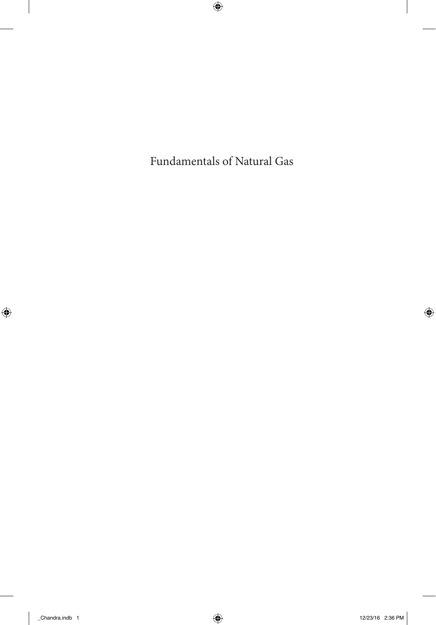Fundamentals of Natural Gas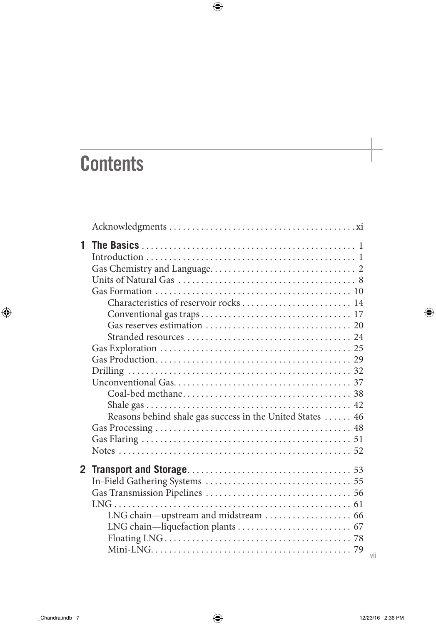## **Contents**

| 1 |                                                           |
|---|-----------------------------------------------------------|
|   |                                                           |
|   |                                                           |
|   |                                                           |
|   |                                                           |
|   |                                                           |
|   |                                                           |
|   |                                                           |
|   |                                                           |
|   |                                                           |
|   |                                                           |
|   |                                                           |
|   |                                                           |
|   |                                                           |
|   |                                                           |
|   | Reasons behind shale gas success in the United States  46 |
|   |                                                           |
|   |                                                           |
|   |                                                           |
|   |                                                           |
|   |                                                           |
|   |                                                           |
|   |                                                           |
|   |                                                           |
|   | LNG chain-upstream and midstream  66                      |
|   |                                                           |
|   |                                                           |
|   |                                                           |

vii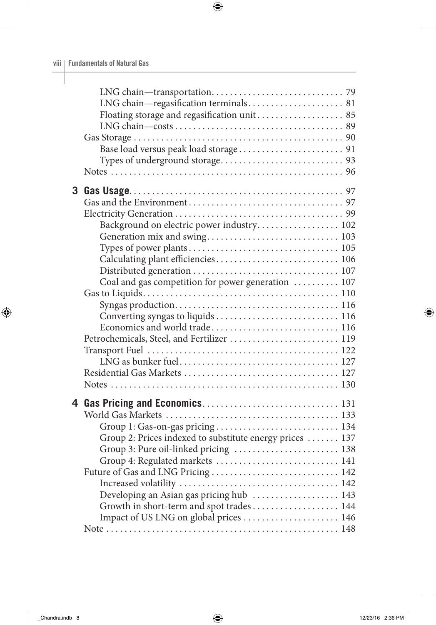|   | LNG chain-regasification terminals 81                    |  |
|---|----------------------------------------------------------|--|
|   | Floating storage and regasification unit 85              |  |
|   |                                                          |  |
|   |                                                          |  |
|   |                                                          |  |
|   |                                                          |  |
|   |                                                          |  |
| 3 |                                                          |  |
|   |                                                          |  |
|   |                                                          |  |
|   | Background on electric power industry 102                |  |
|   |                                                          |  |
|   |                                                          |  |
|   | Calculating plant efficiencies 106                       |  |
|   |                                                          |  |
|   | Coal and gas competition for power generation  107       |  |
|   |                                                          |  |
|   |                                                          |  |
|   |                                                          |  |
|   | Economics and world trade 116                            |  |
|   | Petrochemicals, Steel, and Fertilizer  119               |  |
|   |                                                          |  |
|   |                                                          |  |
|   |                                                          |  |
|   |                                                          |  |
|   |                                                          |  |
|   |                                                          |  |
|   |                                                          |  |
|   |                                                          |  |
|   | Group 2: Prices indexed to substitute energy prices  137 |  |
|   | Group 3: Pure oil-linked pricing  138                    |  |
|   | Group 4: Regulated markets  141                          |  |
|   |                                                          |  |
|   |                                                          |  |
|   | Developing an Asian gas pricing hub  143                 |  |
|   | Growth in short-term and spot trades 144                 |  |
|   | Impact of US LNG on global prices  146                   |  |
|   |                                                          |  |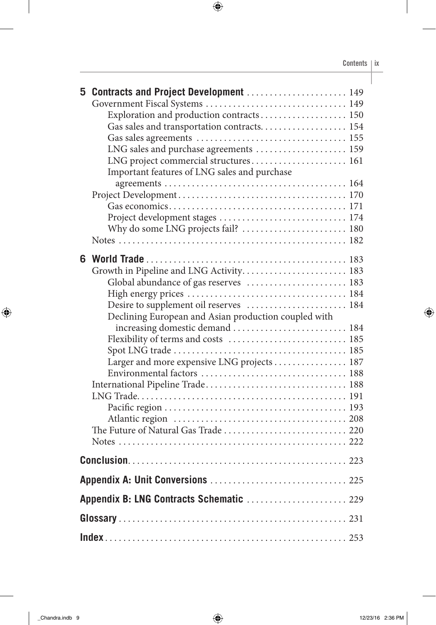|                                          | 5 Contracts and Project Development  149             |  |  |  |
|------------------------------------------|------------------------------------------------------|--|--|--|
|                                          |                                                      |  |  |  |
|                                          | Exploration and production contracts 150             |  |  |  |
|                                          | Gas sales and transportation contracts 154           |  |  |  |
|                                          |                                                      |  |  |  |
|                                          | LNG sales and purchase agreements  159               |  |  |  |
|                                          | LNG project commercial structures 161                |  |  |  |
|                                          | Important features of LNG sales and purchase         |  |  |  |
|                                          |                                                      |  |  |  |
|                                          |                                                      |  |  |  |
|                                          |                                                      |  |  |  |
|                                          | Project development stages  174                      |  |  |  |
|                                          | Why do some LNG projects fail?  180                  |  |  |  |
|                                          |                                                      |  |  |  |
| 6.                                       |                                                      |  |  |  |
|                                          | Growth in Pipeline and LNG Activity 183              |  |  |  |
|                                          | Global abundance of gas reserves  183                |  |  |  |
|                                          |                                                      |  |  |  |
|                                          | Desire to supplement oil reserves  184               |  |  |  |
|                                          | Declining European and Asian production coupled with |  |  |  |
|                                          | increasing domestic demand  184                      |  |  |  |
|                                          |                                                      |  |  |  |
|                                          |                                                      |  |  |  |
|                                          | Larger and more expensive LNG projects  187          |  |  |  |
|                                          |                                                      |  |  |  |
|                                          |                                                      |  |  |  |
|                                          |                                                      |  |  |  |
|                                          |                                                      |  |  |  |
|                                          |                                                      |  |  |  |
|                                          | The Future of Natural Gas Trade  220                 |  |  |  |
|                                          |                                                      |  |  |  |
|                                          |                                                      |  |  |  |
|                                          |                                                      |  |  |  |
| Appendix B: LNG Contracts Schematic  229 |                                                      |  |  |  |
|                                          |                                                      |  |  |  |
|                                          |                                                      |  |  |  |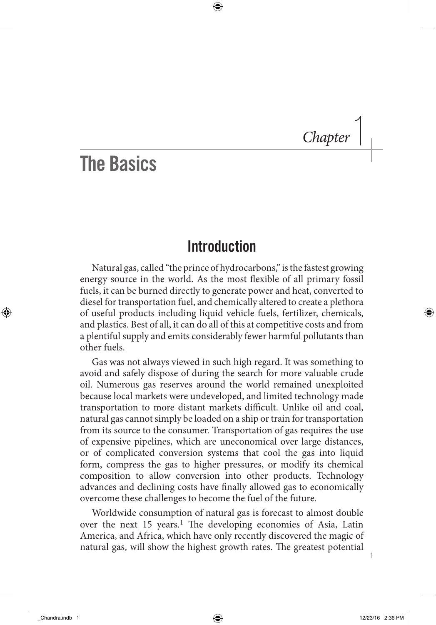*Chapter* |

1

## The Basics

## **Introduction**

Natural gas, called "the prince of hydrocarbons," is the fastest growing energy source in the world. As the most flexible of all primary fossil fuels, it can be burned directly to generate power and heat, converted to diesel for transportation fuel, and chemically altered to create a plethora of useful products including liquid vehicle fuels, fertilizer, chemicals, and plastics. Best of all, it can do all of this at competitive costs and from a plentiful supply and emits considerably fewer harmful pollutants than other fuels.

Gas was not always viewed in such high regard. It was something to avoid and safely dispose of during the search for more valuable crude oil. Numerous gas reserves around the world remained unexploited because local markets were undeveloped, and limited technology made transportation to more distant markets difficult. Unlike oil and coal, natural gas cannot simply be loaded on a ship or train for transportation from its source to the consumer. Transportation of gas requires the use of expensive pipelines, which are uneconomical over large distances, or of complicated conversion systems that cool the gas into liquid form, compress the gas to higher pressures, or modify its chemical composition to allow conversion into other products. Technology advances and declining costs have finally allowed gas to economically overcome these challenges to become the fuel of the future.

Worldwide consumption of natural gas is forecast to almost double over the next 15 years.<sup>1</sup> The developing economies of Asia, Latin America, and Africa, which have only recently discovered the magic of natural gas, will show the highest growth rates. The greatest potential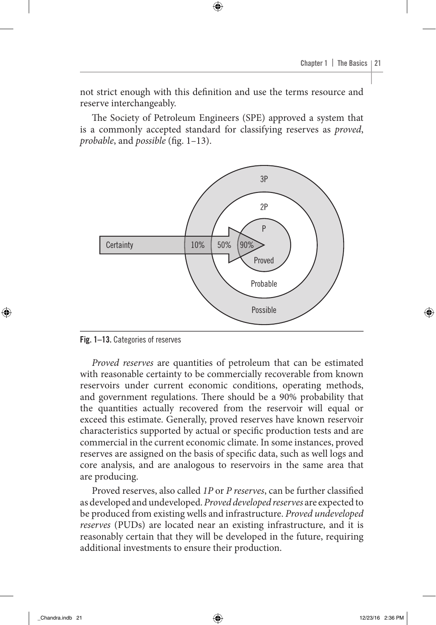not strict enough with this definition and use the terms resource and reserve interchangeably.

The Society of Petroleum Engineers (SPE) approved a system that is a commonly accepted standard for classifying reserves as *proved*, *probable*, and *possible* (fig. 1-13).



Fig. 1–13. Categories of reserves

*Proved reserves* are quantities of petroleum that can be estimated with reasonable certainty to be commercially recoverable from known reservoirs under current economic conditions, operating methods, and government regulations. There should be a 90% probability that the quantities actually recovered from the reservoir will equal or exceed this estimate. Generally, proved reserves have known reservoir characteristics supported by actual or specific production tests and are commercial in the current economic climate. In some instances, proved reserves are assigned on the basis of specific data, such as well logs and core analysis, and are analogous to reservoirs in the same area that are producing.

Proved reserves, also called *1P* or *P reserves*, can be further classified as developed and undeveloped. *Proved developed reserves* are expected to be produced from existing wells and infrastructure. *Proved undeveloped reserves* (PUDs) are located near an existing infrastructure, and it is reasonably certain that they will be developed in the future, requiring additional investments to ensure their production.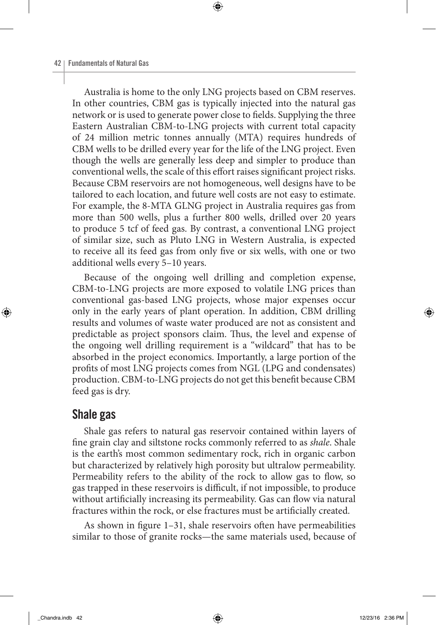Australia is home to the only LNG projects based on CBM reserves. In other countries, CBM gas is typically injected into the natural gas network or is used to generate power close to fields. Supplying the three Eastern Australian CBM-to-LNG projects with current total capacity of 24 million metric tonnes annually (MTA) requires hundreds of CBM wells to be drilled every year for the life of the LNG project. Even though the wells are generally less deep and simpler to produce than conventional wells, the scale of this effort raises significant project risks. Because CBM reservoirs are not homogeneous, well designs have to be tailored to each location, and future well costs are not easy to estimate. For example, the 8-MTA GLNG project in Australia requires gas from more than 500 wells, plus a further 800 wells, drilled over 20 years to produce 5 tcf of feed gas. By contrast, a conventional LNG project of similar size, such as Pluto LNG in Western Australia, is expected to receive all its feed gas from only five or six wells, with one or two additional wells every 5–10 years.

Because of the ongoing well drilling and completion expense, CBM-to-LNG projects are more exposed to volatile LNG prices than conventional gas-based LNG projects, whose major expenses occur only in the early years of plant operation. In addition, CBM drilling results and volumes of waste water produced are not as consistent and predictable as project sponsors claim. Thus, the level and expense of the ongoing well drilling requirement is a "wildcard" that has to be absorbed in the project economics. Importantly, a large portion of the profits of most LNG projects comes from NGL (LPG and condensates) production. CBM-to-LNG projects do not get this benefit because CBM feed gas is dry.

## Shale gas

Shale gas refers to natural gas reservoir contained within layers of fine grain clay and siltstone rocks commonly referred to as *shale*. Shale is the earth's most common sedimentary rock, rich in organic carbon but characterized by relatively high porosity but ultralow permeability. Permeability refers to the ability of the rock to allow gas to flow, so gas trapped in these reservoirs is difficult, if not impossible, to produce without artificially increasing its permeability. Gas can flow via natural fractures within the rock, or else fractures must be artificially created.

As shown in figure 1–31, shale reservoirs often have permeabilities similar to those of granite rocks—the same materials used, because of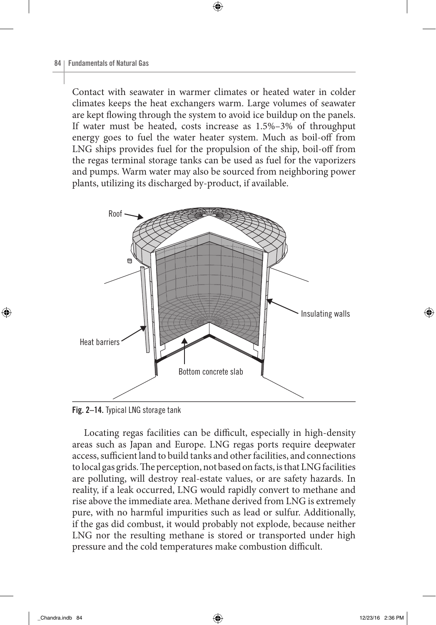Contact with seawater in warmer climates or heated water in colder climates keeps the heat exchangers warm. Large volumes of seawater are kept flowing through the system to avoid ice buildup on the panels. If water must be heated, costs increase as 1.5%–3% of throughput energy goes to fuel the water heater system. Much as boil-off from LNG ships provides fuel for the propulsion of the ship, boil-off from the regas terminal storage tanks can be used as fuel for the vaporizers and pumps. Warm water may also be sourced from neighboring power plants, utilizing its discharged by-product, if available.



Fig. 2–14. Typical LNG storage tank

Locating regas facilities can be difficult, especially in high-density areas such as Japan and Europe. LNG regas ports require deepwater access, sufficient land to build tanks and other facilities, and connections to local gas grids. The perception, not based on facts, is that LNG facilities are polluting, will destroy real-estate values, or are safety hazards. In reality, if a leak occurred, LNG would rapidly convert to methane and rise above the immediate area. Methane derived from LNG is extremely pure, with no harmful impurities such as lead or sulfur. Additionally, if the gas did combust, it would probably not explode, because neither LNG nor the resulting methane is stored or transported under high pressure and the cold temperatures make combustion difficult.